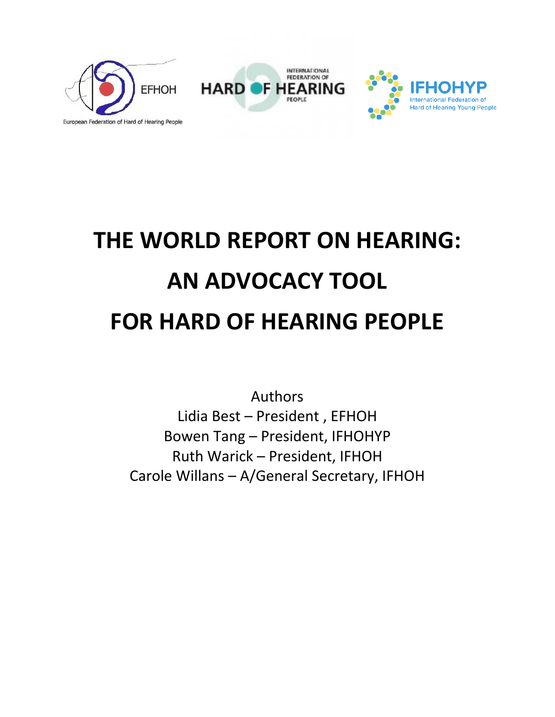



# **THE WORLD REPORT ON HEARING: AN ADVOCACY TOOL FOR HARD OF HEARING PEOPLE**

Authors Lidia Best – President , EFHOH Bowen Tang – President, IFHOHYP Ruth Warick – President, IFHOH Carole Willans – A/General Secretary, IFHOH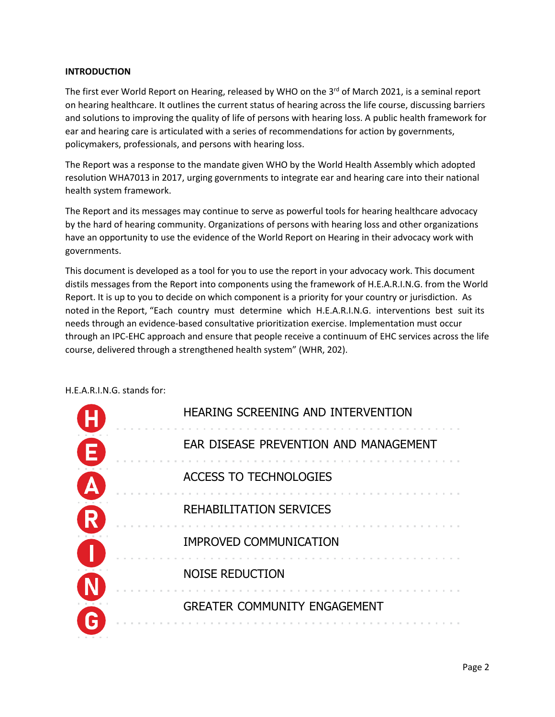#### **INTRODUCTION**

The first ever World Report on Hearing, released by WHO on the  $3<sup>rd</sup>$  of March 2021, is a seminal report on hearing healthcare. It outlines the current status of hearing across the life course, discussing barriers and solutions to improving the quality of life of persons with hearing loss. A public health framework for ear and hearing care is articulated with a series of recommendations for action by governments, policymakers, professionals, and persons with hearing loss.

The Report was a response to the mandate given WHO by the World Health Assembly which adopted resolution WHA7013 in 2017, urging governments to integrate ear and hearing care into their national health system framework.

The Report and its messages may continue to serve as powerful tools for hearing healthcare advocacy by the hard of hearing community. Organizations of persons with hearing loss and other organizations have an opportunity to use the evidence of the World Report on Hearing in their advocacy work with governments.

This document is developed as a tool for you to use the report in your advocacy work. This document distils messages from the Report into components using the framework of H.E.A.R.I.N.G. from the World Report. It is up to you to decide on which component is a priority for your country or jurisdiction. As noted in the Report, "Each country must determine which H.E.A.R.I.N.G. interventions best suit its needs through an evidence-based consultative prioritization exercise. Implementation must occur through an IPC-EHC approach and ensure that people receive a continuum of EHC services across the life course, delivered through a strengthened health system" (WHR, 202).

| HEARING SCREENING AND INTERVENTION    |
|---------------------------------------|
| EAR DISEASE PREVENTION AND MANAGEMENT |
| <b>ACCESS TO TECHNOLOGIES</b>         |
| REHABILITATION SERVICES               |
| <b>IMPROVED COMMUNICATION</b>         |
| <b>NOISE REDUCTION</b>                |
| <b>GREATER COMMUNITY ENGAGEMENT</b>   |

#### H.E.A.R.I.N.G. stands for: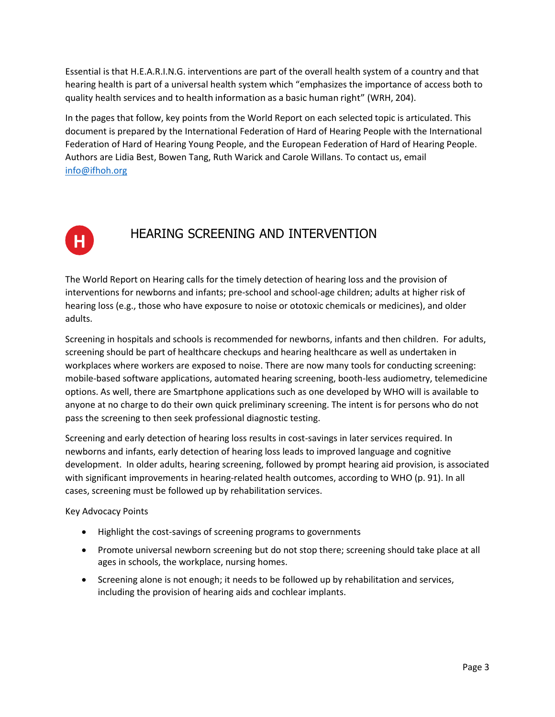Essential is that H.E.A.R.I.N.G. interventions are part of the overall health system of a country and that hearing health is part of a universal health system which "emphasizes the importance of access both to quality health services and to health information as a basic human right" (WRH, 204).

In the pages that follow, key points from the World Report on each selected topic is articulated. This document is prepared by the International Federation of Hard of Hearing People with the International Federation of Hard of Hearing Young People, and the European Federation of Hard of Hearing People. Authors are Lidia Best, Bowen Tang, Ruth Warick and Carole Willans. To contact us, email [info@ifhoh.org](mailto:info@ifhoh.org)



# HEARING SCREENING AND INTERVENTION

The World Report on Hearing calls for the timely detection of hearing loss and the provision of interventions for newborns and infants; pre-school and school-age children; adults at higher risk of hearing loss (e.g., those who have exposure to noise or ototoxic chemicals or medicines), and older adults.

Screening in hospitals and schools is recommended for newborns, infants and then children. For adults, screening should be part of healthcare checkups and hearing healthcare as well as undertaken in workplaces where workers are exposed to noise. There are now many tools for conducting screening: mobile-based software applications, automated hearing screening, booth-less audiometry, telemedicine options. As well, there are Smartphone applications such as one developed by WHO will is available to anyone at no charge to do their own quick preliminary screening. The intent is for persons who do not pass the screening to then seek professional diagnostic testing.

Screening and early detection of hearing loss results in cost-savings in later services required. In newborns and infants, early detection of hearing loss leads to improved language and cognitive development. In older adults, hearing screening, followed by prompt hearing aid provision, is associated with significant improvements in hearing-related health outcomes, according to WHO (p. 91). In all cases, screening must be followed up by rehabilitation services.

Key Advocacy Points

- Highlight the cost-savings of screening programs to governments
- Promote universal newborn screening but do not stop there; screening should take place at all ages in schools, the workplace, nursing homes.
- Screening alone is not enough; it needs to be followed up by rehabilitation and services, including the provision of hearing aids and cochlear implants.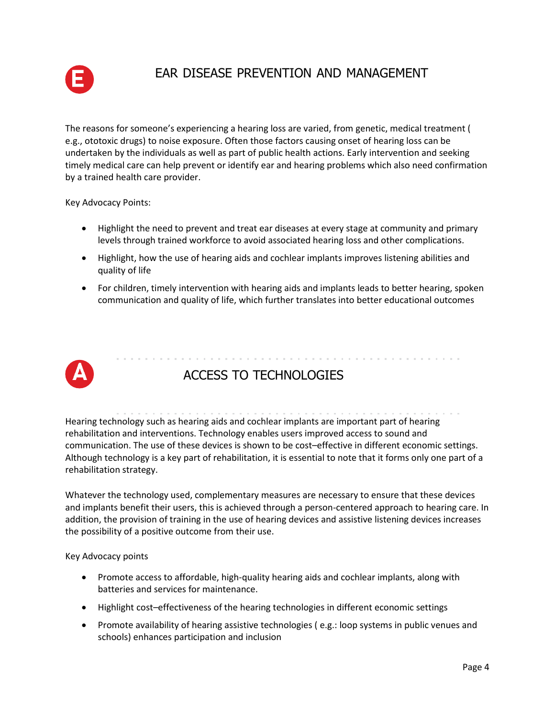

## EAR DISEASE PREVENTION AND MANAGEMENT

The reasons for someone's experiencing a hearing loss are varied, from genetic, medical treatment ( e.g., ototoxic drugs) to noise exposure. Often those factors causing onset of hearing loss can be undertaken by the individuals as well as part of public health actions. Early intervention and seeking timely medical care can help prevent or identify ear and hearing problems which also need confirmation by a trained health care provider.

Key Advocacy Points:

- Highlight the need to prevent and treat ear diseases at every stage at community and primary levels through trained workforce to avoid associated hearing loss and other complications.
- Highlight, how the use of hearing aids and cochlear implants improves listening abilities and quality of life
- For children, timely intervention with hearing aids and implants leads to better hearing, spoken communication and quality of life, which further translates into better educational outcomes



# ACCESS TO TECHNOLOGIES

Hearing technology such as hearing aids and cochlear implants are important part of hearing rehabilitation and interventions. Technology enables users improved access to sound and communication. The use of these devices is shown to be cost–effective in different economic settings. Although technology is a key part of rehabilitation, it is essential to note that it forms only one part of a rehabilitation strategy.

Whatever the technology used, complementary measures are necessary to ensure that these devices and implants benefit their users, this is achieved through a person-centered approach to hearing care. In addition, the provision of training in the use of hearing devices and assistive listening devices increases the possibility of a positive outcome from their use.

Key Advocacy points

- Promote access to affordable, high-quality hearing aids and cochlear implants, along with batteries and services for maintenance.
- Highlight cost–effectiveness of the hearing technologies in different economic settings
- Promote availability of hearing assistive technologies (e.g.: loop systems in public venues and schools) enhances participation and inclusion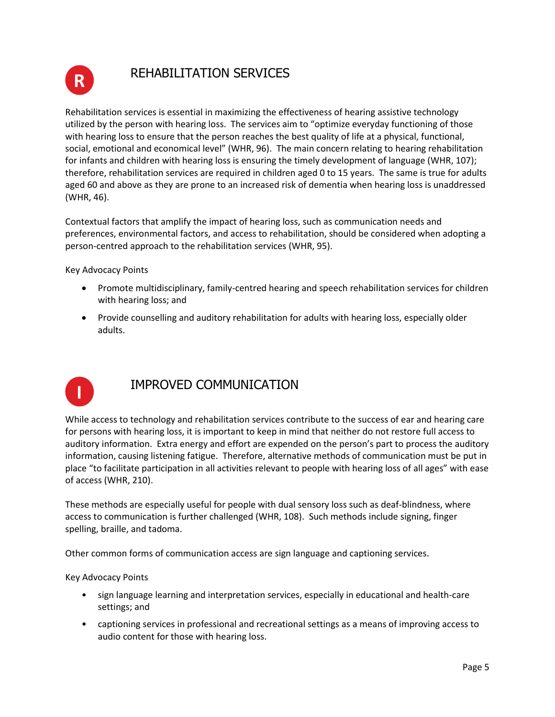

# REHABILITATION SERVICES

Rehabilitation services is essential in maximizing the effectiveness of hearing assistive technology utilized by the person with hearing loss. The services aim to "optimize everyday functioning of those with hearing loss to ensure that the person reaches the best quality of life at a physical, functional, social, emotional and economical level" (WHR, 96). The main concern relating to hearing rehabilitation for infants and children with hearing loss is ensuring the timely development of language (WHR, 107); therefore, rehabilitation services are required in children aged 0 to 15 years. The same is true for adults aged 60 and above as they are prone to an increased risk of dementia when hearing loss is unaddressed (WHR, 46).

Contextual factors that amplify the impact of hearing loss, such as communication needs and preferences, environmental factors, and access to rehabilitation, should be considered when adopting a person-centred approach to the rehabilitation services (WHR, 95).

Key Advocacy Points

- Promote multidisciplinary, family-centred hearing and speech rehabilitation services for children with hearing loss; and
- Provide counselling and auditory rehabilitation for adults with hearing loss, especially older adults.



# IMPROVED COMMUNICATION

While access to technology and rehabilitation services contribute to the success of ear and hearing care for persons with hearing loss, it is important to keep in mind that neither do not restore full access to auditory information. Extra energy and effort are expended on the person's part to process the auditory information, causing listening fatigue. Therefore, alternative methods of communication must be put in place "to facilitate participation in all activities relevant to people with hearing loss of all ages" with ease of access (WHR, 210).

These methods are especially useful for people with dual sensory loss such as deaf-blindness, where access to communication is further challenged (WHR, 108). Such methods include signing, finger spelling, braille, and tadoma.

Other common forms of communication access are sign language and captioning services.

Key Advocacy Points

- sign language learning and interpretation services, especially in educational and health-care settings; and
- captioning services in professional and recreational settings as a means of improving access to audio content for those with hearing loss.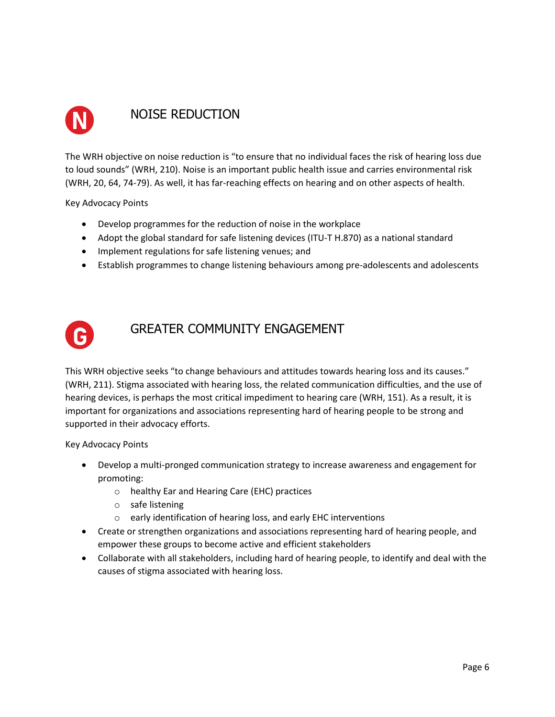

## NOISE REDUCTION

The WRH objective on noise reduction is "to ensure that no individual faces the risk of hearing loss due to loud sounds" (WRH, 210). Noise is an important public health issue and carries environmental risk (WRH, 20, 64, 74-79). As well, it has far-reaching effects on hearing and on other aspects of health.

Key Advocacy Points

- Develop programmes for the reduction of noise in the workplace
- Adopt the global standard for safe listening devices (ITU-T H.870) as a national standard
- Implement regulations for safe listening venues; and
- Establish programmes to change listening behaviours among pre-adolescents and adolescents



### GREATER COMMUNITY ENGAGEMENT

This WRH objective seeks "to change behaviours and attitudes towards hearing loss and its causes." (WRH, 211). Stigma associated with hearing loss, the related communication difficulties, and the use of hearing devices, is perhaps the most critical impediment to hearing care (WRH, 151). As a result, it is important for organizations and associations representing hard of hearing people to be strong and supported in their advocacy efforts.

Key Advocacy Points

- Develop a multi-pronged communication strategy to increase awareness and engagement for promoting:
	- o healthy Ear and Hearing Care (EHC) practices
	- o safe listening
	- o early identification of hearing loss, and early EHC interventions
- Create or strengthen organizations and associations representing hard of hearing people, and empower these groups to become active and efficient stakeholders
- Collaborate with all stakeholders, including hard of hearing people, to identify and deal with the causes of stigma associated with hearing loss.